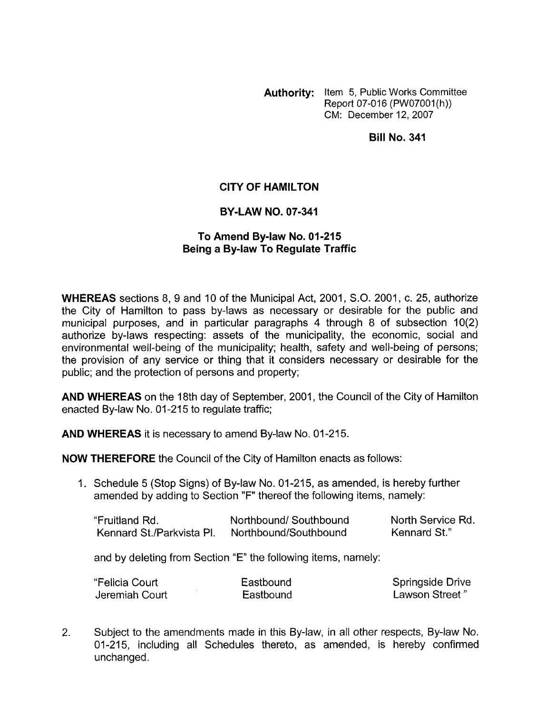**Authority:** Item 5, Public Works Committee Report 07-016 (PW07001(h)) CM: December 12.2007

**Bill No. 341** 

## **CITY OF HAMILTON**

## **BY-LAW NO. 07-341**

## **To Amend By-law No. 01 -21 5 Being a By-law To Regulate Traffic**

**WHEREAS** sections 8, 9 and 10 of the Municipal Act, 2001, S.O. 2001, c. 25, authorize the City of Hamilton to pass by-laws as necessary or desirable for the public and municipal purposes, and in particular paragraphs 4 through 8 of subsection 10(2) authorize by-laws respecting: assets of the municipality, the economic, social and environmental well-being of the municipality; health, safety and well-being of persons; the provision of any service or thing that it considers necessary or desirable for the public; and the protection of persons and property;

**AND WHEREAS** on the 18th day of September, 2001, the Council of the City of Hamilton enacted By-law No. 01-215 to regulate traffic;

**AND WHEREAS** it is necessary to amend By-law No. 01-215.

**NOW THEREFORE** the Council of the City of Hamilton enacts as follows:

1. Schedule 5 (Stop Signs) of By-law No. 01-215, as amended, is hereby further amended by adding to Section **"F"** thereof the following items, namely:

| "Fruitland Rd.            | Northbound/Southbound | North Service Rd. |
|---------------------------|-----------------------|-------------------|
| Kennard St./Parkvista PI. | Northbound/Southbound | Kennard St."      |

and by deleting from Section "E" the following items, namely:

| "Felicia Court | Eastbound | <b>Springside Drive</b> |
|----------------|-----------|-------------------------|
| Jeremiah Court | Eastbound | Lawson Street"          |

2. Subject to the amendments made in this By-law, in all other respects, By-law No. 01-215, including all Schedules thereto, as amended, is hereby confirmed unchanged.